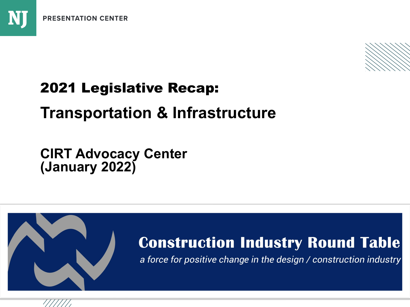

## 2021 Legislative Recap:

# **Transportation & Infrastructure**

**CIRT Advocacy Center (January 2022)**



## **Construction Industry Round Table**

a force for positive change in the design / construction industry

**National Journal Presentation Center**

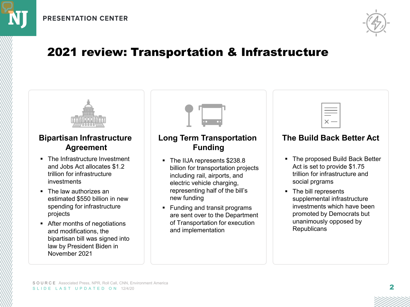

### 2021 review: Transportation & Infrastructure



#### **Bipartisan Infrastructure Agreement**

- The Infrastructure Investment and Jobs Act allocates \$1.2 trillion for infrastructure investments
- The law authorizes an estimated \$550 billion in new spending for infrastructure projects
- After months of negotiations and modifications, the bipartisan bill was signed into law by President Biden in November 2021



### **Long Term Transportation Funding**

- The IIJA represents \$238.8 billion for transportation projects including rail, airports, and electric vehicle charging, representing half of the bill's new funding
- Funding and transit programs are sent over to the Department of Transportation for execution and implementation

#### **The Build Back Better Act**

- The proposed Build Back Better Act is set to provide \$1.75 trillion for infrastructure and social prgrams
- The bill represents supplemental infrastructure investments which have been promoted by Democrats but unanimously opposed by **Republicans**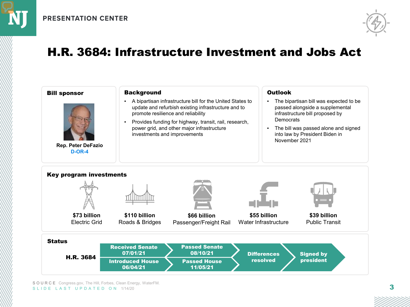

### H.R. 3684: Infrastructure Investment and Jobs Act

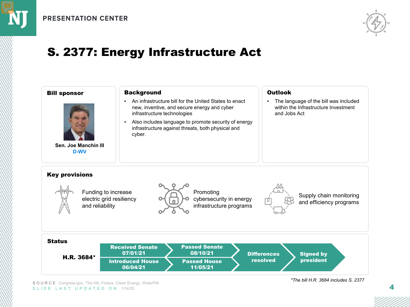

## S. 2377: Energy Infrastructure Act



SOURCE Congress.gov, The Hill, Forbes, Clean Energy, WaterFM. SLIDE LAST UPDATED ON 1/14/20

#### *\*The bill H.R. 3684 includes S. 2377*

4